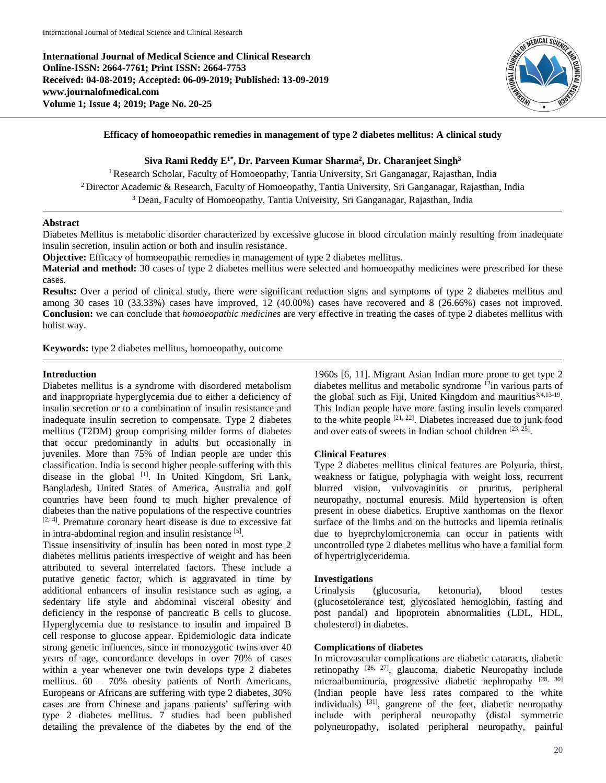**International Journal of Medical Science and Clinical Research Online-ISSN: 2664-7761; Print ISSN: 2664-7753 Received: 04-08-2019; Accepted: 06-09-2019; Published: 13-09-2019 www.journalofmedical.com Volume 1; Issue 4; 2019; Page No. 20-25**



### **Efficacy of homoeopathic remedies in management of type 2 diabetes mellitus: A clinical study**

**Siva Rami Reddy E1\*, Dr. Parveen Kumar Sharma<sup>2</sup> , Dr. Charanjeet Singh<sup>3</sup>**

<sup>1</sup> Research Scholar, Faculty of Homoeopathy, Tantia University, Sri Ganganagar, Rajasthan, India <sup>2</sup> Director Academic & Research, Faculty of Homoeopathy, Tantia University, Sri Ganganagar, Rajasthan, India <sup>3</sup> Dean, Faculty of Homoeopathy, Tantia University, Sri Ganganagar, Rajasthan, India

## **Abstract**

Diabetes Mellitus is metabolic disorder characterized by excessive glucose in blood circulation mainly resulting from inadequate insulin secretion, insulin action or both and insulin resistance.

**Objective:** Efficacy of homoeopathic remedies in management of type 2 diabetes mellitus.

**Material and method:** 30 cases of type 2 diabetes mellitus were selected and homoeopathy medicines were prescribed for these cases.

**Results:** Over a period of clinical study, there were significant reduction signs and symptoms of type 2 diabetes mellitus and among 30 cases 10 (33.33%) cases have improved, 12 (40.00%) cases have recovered and 8 (26.66%) cases not improved. **Conclusion:** we can conclude that *homoeopathic medicines* are very effective in treating the cases of type 2 diabetes mellitus with holist way.

**Keywords:** type 2 diabetes mellitus, homoeopathy, outcome

### **Introduction**

Diabetes mellitus is a syndrome with disordered metabolism and inappropriate hyperglycemia due to either a deficiency of insulin secretion or to a combination of insulin resistance and inadequate insulin secretion to compensate. Type 2 diabetes mellitus (T2DM) group comprising milder forms of diabetes that occur predominantly in adults but occasionally in juveniles. More than 75% of Indian people are under this classification. India is second higher people suffering with this disease in the global  $[1]$ . In United Kingdom, Sri Lank, Bangladesh, United States of America, Australia and golf countries have been found to much higher prevalence of diabetes than the native populations of the respective countries  $[2, 4]$ . Premature coronary heart disease is due to excessive fat in intra-abdominal region and insulin resistance [5].

Tissue insensitivity of insulin has been noted in most type 2 diabetes mellitus patients irrespective of weight and has been attributed to several interrelated factors. These include a putative genetic factor, which is aggravated in time by additional enhancers of insulin resistance such as aging, a sedentary life style and abdominal visceral obesity and deficiency in the response of pancreatic B cells to glucose. Hyperglycemia due to resistance to insulin and impaired B cell response to glucose appear. Epidemiologic data indicate strong genetic influences, since in monozygotic twins over 40 years of age, concordance develops in over 70% of cases within a year whenever one twin develops type 2 diabetes mellitus. 60 – 70% obesity patients of North Americans, Europeans or Africans are suffering with type 2 diabetes, 30% cases are from Chinese and japans patients' suffering with type 2 diabetes mellitus. 7 studies had been published detailing the prevalence of the diabetes by the end of the

1960s [6, 11]. Migrant Asian Indian more prone to get type 2 diabetes mellitus and metabolic syndrome <sup>12</sup>in various parts of the global such as Fiji, United Kingdom and mauritius<sup>3,4,13-19</sup>. This Indian people have more fasting insulin levels compared to the white people  $[21, 22]$ . Diabetes increased due to junk food and over eats of sweets in Indian school children [23, 25].

### **Clinical Features**

Type 2 diabetes mellitus clinical features are Polyuria, thirst, weakness or fatigue, polyphagia with weight loss, recurrent blurred vision, vulvovaginitis or pruritus, peripheral neuropathy, nocturnal enuresis. Mild hypertension is often present in obese diabetics. Eruptive xanthomas on the flexor surface of the limbs and on the buttocks and lipemia retinalis due to hyeprchylomicronemia can occur in patients with uncontrolled type 2 diabetes mellitus who have a familial form of hypertriglyceridemia.

#### **Investigations**

Urinalysis (glucosuria, ketonuria), blood testes (glucosetolerance test, glycoslated hemoglobin, fasting and post pandal) and lipoprotein abnormalities (LDL, HDL, cholesterol) in diabetes.

### **Complications of diabetes**

In microvascular complications are diabetic cataracts, diabetic retinopathy  $[26, 27]$ , glaucoma, diabetic Neuropathy include microalbuminuria, progressive diabetic nephropathy [28, 30] (Indian people have less rates compared to the white individuals) <sup>[31]</sup>, gangrene of the feet, diabetic neuropathy include with peripheral neuropathy (distal symmetric polyneuropathy, isolated peripheral neuropathy, painful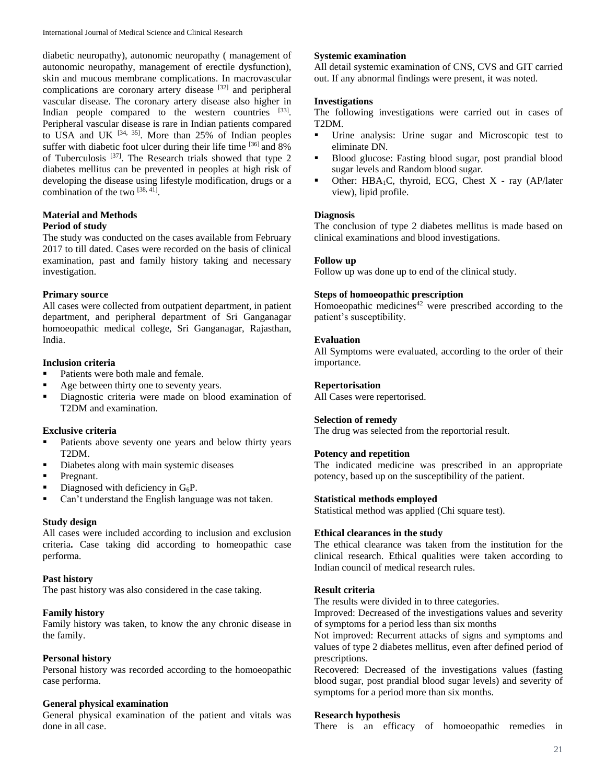diabetic neuropathy), autonomic neuropathy ( management of autonomic neuropathy, management of erectile dysfunction), skin and mucous membrane complications. In macrovascular complications are coronary artery disease [32] and peripheral vascular disease. The coronary artery disease also higher in Indian people compared to the western countries  $[33]$ . Peripheral vascular disease is rare in Indian patients compared to USA and UK  $[34, 35]$ . More than 25% of Indian peoples suffer with diabetic foot ulcer during their life time  $[36]$  and  $8\%$ of Tuberculosis<sup>[37]</sup>. The Research trials showed that type 2 diabetes mellitus can be prevented in peoples at high risk of developing the disease using lifestyle modification, drugs or a combination of the two [38, 41].

# **Material and Methods**

### **Period of study**

The study was conducted on the cases available from February 2017 to till dated. Cases were recorded on the basis of clinical examination, past and family history taking and necessary investigation.

### **Primary source**

All cases were collected from outpatient department, in patient department, and peripheral department of Sri Ganganagar homoeopathic medical college, Sri Ganganagar, Rajasthan, India.

# **Inclusion criteria**

- Patients were both male and female.
- Age between thirty one to seventy years.
- Diagnostic criteria were made on blood examination of T2DM and examination.

# **Exclusive criteria**

- **Patients above seventy one years and below thirty years** T2DM.
- Diabetes along with main systemic diseases
- Pregnant.
- $\blacksquare$  Diagnosed with deficiency in G<sub>6</sub>P.
- Can't understand the English language was not taken.

### **Study design**

All cases were included according to inclusion and exclusion criteria**.** Case taking did according to homeopathic case performa.

# **Past history**

The past history was also considered in the case taking.

# **Family history**

Family history was taken, to know the any chronic disease in the family.

# **Personal history**

Personal history was recorded according to the homoeopathic case performa.

# **General physical examination**

General physical examination of the patient and vitals was done in all case.

# **Systemic examination**

All detail systemic examination of CNS, CVS and GIT carried out. If any abnormal findings were present, it was noted.

## **Investigations**

The following investigations were carried out in cases of T2DM.

- Urine analysis: Urine sugar and Microscopic test to eliminate DN.
- **Blood glucose: Fasting blood sugar, post prandial blood** sugar levels and Random blood sugar.
- Other: HBA1C, thyroid, ECG, Chest X ray (AP/later view), lipid profile.

# **Diagnosis**

The conclusion of type 2 diabetes mellitus is made based on clinical examinations and blood investigations.

## **Follow up**

Follow up was done up to end of the clinical study.

## **Steps of homoeopathic prescription**

Homoeopathic medicines<sup>42</sup> were prescribed according to the patient's susceptibility.

## **Evaluation**

All Symptoms were evaluated, according to the order of their importance.

## **Repertorisation**

All Cases were repertorised.

# **Selection of remedy**

The drug was selected from the reportorial result.

# **Potency and repetition**

The indicated medicine was prescribed in an appropriate potency, based up on the susceptibility of the patient.

# **Statistical methods employed**

Statistical method was applied (Chi square test).

# **Ethical clearances in the study**

The ethical clearance was taken from the institution for the clinical research. Ethical qualities were taken according to Indian council of medical research rules.

# **Result criteria**

The results were divided in to three categories.

Improved: Decreased of the investigations values and severity of symptoms for a period less than six months

Not improved: Recurrent attacks of signs and symptoms and values of type 2 diabetes mellitus, even after defined period of prescriptions.

Recovered: Decreased of the investigations values (fasting blood sugar, post prandial blood sugar levels) and severity of symptoms for a period more than six months.

### **Research hypothesis**

There is an efficacy of homoeopathic remedies in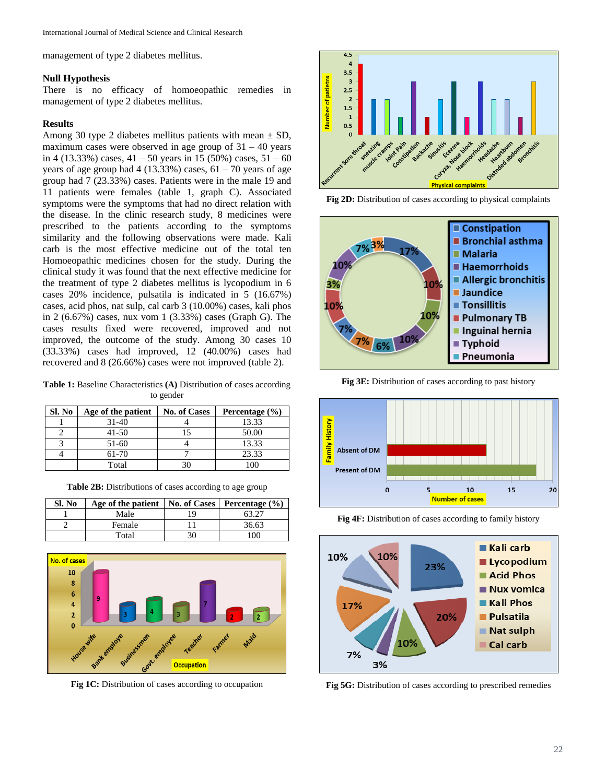management of type 2 diabetes mellitus.

### **Null Hypothesis**

There is no efficacy of homoeopathic remedies in management of type 2 diabetes mellitus.

### **Results**

Among 30 type 2 diabetes mellitus patients with mean  $\pm$  SD, maximum cases were observed in age group of  $31 - 40$  years in 4 (13.33%) cases,  $41 - 50$  years in 15 (50%) cases,  $51 - 60$ years of age group had  $4(13.33\%)$  cases,  $61 - 70$  years of age group had 7 (23.33%) cases. Patients were in the male 19 and 11 patients were females (table 1, graph C). Associated symptoms were the symptoms that had no direct relation with the disease. In the clinic research study, 8 medicines were prescribed to the patients according to the symptoms similarity and the following observations were made. Kali carb is the most effective medicine out of the total ten Homoeopathic medicines chosen for the study. During the clinical study it was found that the next effective medicine for the treatment of type 2 diabetes mellitus is lycopodium in 6 cases 20% incidence, pulsatila is indicated in 5 (16.67%) cases, acid phos, nat sulp, cal carb 3 (10.00%) cases, kali phos in 2 (6.67%) cases, nux vom 1 (3.33%) cases (Graph G). The cases results fixed were recovered, improved and not improved, the outcome of the study. Among 30 cases 10 (33.33%) cases had improved, 12 (40.00%) cases had recovered and 8 (26.66%) cases were not improved (table 2).

**Table 1:** Baseline Characteristics **(A)** Distribution of cases according to gender

| Sl. No | Age of the patient | <b>No. of Cases</b> | Percentage $(\% )$ |
|--------|--------------------|---------------------|--------------------|
|        | $31-40$            |                     | 13.33              |
|        | 41-50              |                     | 50.00              |
|        | 51-60              |                     | 13.33              |
|        | 61-70              |                     | 23.33              |
|        | Total              |                     |                    |

**Table 2B:** Distributions of cases according to age group

| Sl. No | Age of the patient   No. of Cases   Percentage $(\% )$ |     |            |
|--------|--------------------------------------------------------|-----|------------|
|        | Male                                                   | 1 Q |            |
|        | Female                                                 |     | 36.63      |
|        | Total                                                  | 30  | $100^{-1}$ |



**Fig 1C:** Distribution of cases according to occupation



**Fig 2D:** Distribution of cases according to physical complaints



**Fig 3E:** Distribution of cases according to past history



**Fig 4F:** Distribution of cases according to family history



**Fig 5G:** Distribution of cases according to prescribed remedies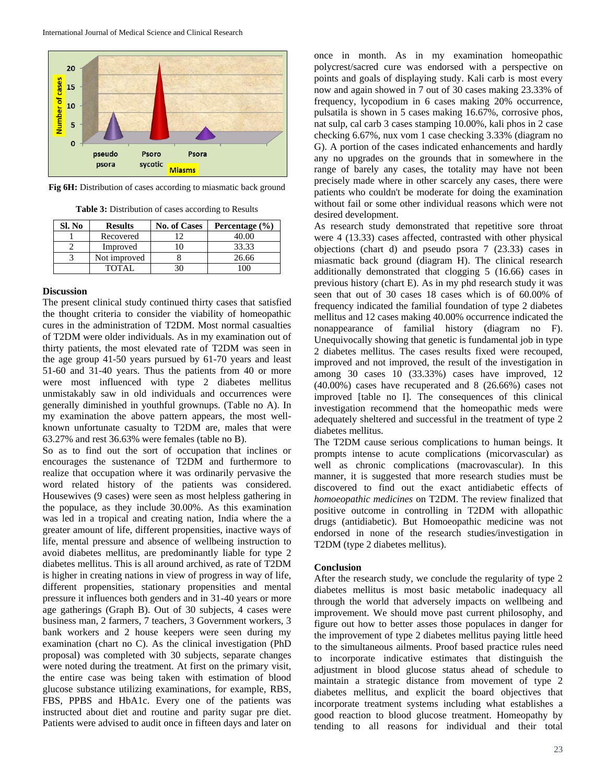

**Fig 6H:** Distribution of cases according to miasmatic back ground

**Table 3:** Distribution of cases according to Results

| Sl. No | <b>Results</b> | <b>No. of Cases</b> | Percentage $(\% )$ |
|--------|----------------|---------------------|--------------------|
|        | Recovered      |                     | 40.00              |
|        | Improved       |                     | 33.33              |
|        | Not improved   |                     | 26.66              |
|        | TOTAL.         |                     |                    |

### **Discussion**

The present clinical study continued thirty cases that satisfied the thought criteria to consider the viability of homeopathic cures in the administration of T2DM. Most normal casualties of T2DM were older individuals. As in my examination out of thirty patients, the most elevated rate of T2DM was seen in the age group 41-50 years pursued by 61-70 years and least 51-60 and 31-40 years. Thus the patients from 40 or more were most influenced with type 2 diabetes mellitus unmistakably saw in old individuals and occurrences were generally diminished in youthful grownups. (Table no A). In my examination the above pattern appears, the most wellknown unfortunate casualty to T2DM are, males that were 63.27% and rest 36.63% were females (table no B).

So as to find out the sort of occupation that inclines or encourages the sustenance of T2DM and furthermore to realize that occupation where it was ordinarily pervasive the word related history of the patients was considered. Housewives (9 cases) were seen as most helpless gathering in the populace, as they include 30.00%. As this examination was led in a tropical and creating nation, India where the a greater amount of life, different propensities, inactive ways of life, mental pressure and absence of wellbeing instruction to avoid diabetes mellitus, are predominantly liable for type 2 diabetes mellitus. This is all around archived, as rate of T2DM is higher in creating nations in view of progress in way of life, different propensities, stationary propensities and mental pressure it influences both genders and in 31-40 years or more age gatherings (Graph B). Out of 30 subjects, 4 cases were business man, 2 farmers, 7 teachers, 3 Government workers, 3 bank workers and 2 house keepers were seen during my examination (chart no C). As the clinical investigation (PhD proposal) was completed with 30 subjects, separate changes were noted during the treatment. At first on the primary visit, the entire case was being taken with estimation of blood glucose substance utilizing examinations, for example, RBS, FBS, PPBS and HbA1c. Every one of the patients was instructed about diet and routine and parity sugar pre diet. Patients were advised to audit once in fifteen days and later on

once in month. As in my examination homeopathic polycrest/sacred cure was endorsed with a perspective on points and goals of displaying study. Kali carb is most every now and again showed in 7 out of 30 cases making 23.33% of frequency, lycopodium in 6 cases making 20% occurrence, pulsatila is shown in 5 cases making 16.67%, corrosive phos, nat sulp, cal carb 3 cases stamping 10.00%, kali phos in 2 case checking 6.67%, nux vom 1 case checking 3.33% (diagram no G). A portion of the cases indicated enhancements and hardly any no upgrades on the grounds that in somewhere in the range of barely any cases, the totality may have not been precisely made where in other scarcely any cases, there were patients who couldn't be moderate for doing the examination without fail or some other individual reasons which were not desired development.

As research study demonstrated that repetitive sore throat were 4 (13.33) cases affected, contrasted with other physical objections (chart d) and pseudo psora 7 (23.33) cases in miasmatic back ground (diagram H). The clinical research additionally demonstrated that clogging 5 (16.66) cases in previous history (chart E). As in my phd research study it was seen that out of 30 cases 18 cases which is of 60.00% of frequency indicated the familial foundation of type 2 diabetes mellitus and 12 cases making 40.00% occurrence indicated the nonappearance of familial history (diagram no F). Unequivocally showing that genetic is fundamental job in type 2 diabetes mellitus. The cases results fixed were recouped, improved and not improved, the result of the investigation in among 30 cases 10 (33.33%) cases have improved, 12 (40.00%) cases have recuperated and 8 (26.66%) cases not improved [table no I]. The consequences of this clinical investigation recommend that the homeopathic meds were adequately sheltered and successful in the treatment of type 2 diabetes mellitus.

The T2DM cause serious complications to human beings. It prompts intense to acute complications (micorvascular) as well as chronic complications (macrovascular). In this manner, it is suggested that more research studies must be discovered to find out the exact antidiabetic effects of *homoeopathic medicines* on T2DM. The review finalized that positive outcome in controlling in T2DM with allopathic drugs (antidiabetic). But Homoeopathic medicine was not endorsed in none of the research studies/investigation in T2DM (type 2 diabetes mellitus).

#### **Conclusion**

After the research study, we conclude the regularity of type 2 diabetes mellitus is most basic metabolic inadequacy all through the world that adversely impacts on wellbeing and improvement. We should move past current philosophy, and figure out how to better asses those populaces in danger for the improvement of type 2 diabetes mellitus paying little heed to the simultaneous ailments. Proof based practice rules need to incorporate indicative estimates that distinguish the adjustment in blood glucose status ahead of schedule to maintain a strategic distance from movement of type 2 diabetes mellitus, and explicit the board objectives that incorporate treatment systems including what establishes a good reaction to blood glucose treatment. Homeopathy by tending to all reasons for individual and their total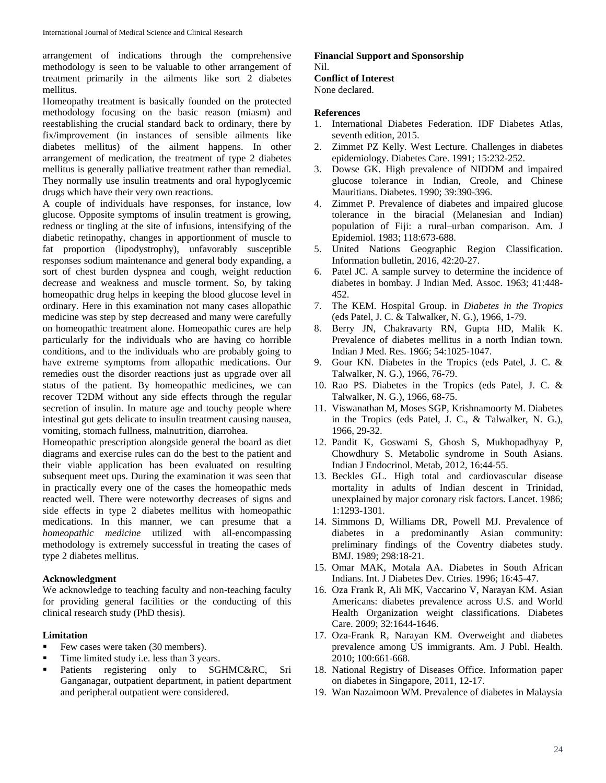arrangement of indications through the comprehensive methodology is seen to be valuable to other arrangement of treatment primarily in the ailments like sort 2 diabetes mellitus.

Homeopathy treatment is basically founded on the protected methodology focusing on the basic reason (miasm) and reestablishing the crucial standard back to ordinary, there by fix/improvement (in instances of sensible ailments like diabetes mellitus) of the ailment happens. In other arrangement of medication, the treatment of type 2 diabetes mellitus is generally palliative treatment rather than remedial. They normally use insulin treatments and oral hypoglycemic drugs which have their very own reactions.

A couple of individuals have responses, for instance, low glucose. Opposite symptoms of insulin treatment is growing, redness or tingling at the site of infusions, intensifying of the diabetic retinopathy, changes in apportionment of muscle to fat proportion (lipodystrophy), unfavorably susceptible responses sodium maintenance and general body expanding, a sort of chest burden dyspnea and cough, weight reduction decrease and weakness and muscle torment. So, by taking homeopathic drug helps in keeping the blood glucose level in ordinary. Here in this examination not many cases allopathic medicine was step by step decreased and many were carefully on homeopathic treatment alone. Homeopathic cures are help particularly for the individuals who are having co horrible conditions, and to the individuals who are probably going to have extreme symptoms from allopathic medications. Our remedies oust the disorder reactions just as upgrade over all status of the patient. By homeopathic medicines, we can recover T2DM without any side effects through the regular secretion of insulin. In mature age and touchy people where intestinal gut gets delicate to insulin treatment causing nausea, vomiting, stomach fullness, malnutrition, diarrohea.

Homeopathic prescription alongside general the board as diet diagrams and exercise rules can do the best to the patient and their viable application has been evaluated on resulting subsequent meet ups. During the examination it was seen that in practically every one of the cases the homeopathic meds reacted well. There were noteworthy decreases of signs and side effects in type 2 diabetes mellitus with homeopathic medications. In this manner, we can presume that a *homeopathic medicine* utilized with all-encompassing methodology is extremely successful in treating the cases of type 2 diabetes mellitus.

#### **Acknowledgment**

We acknowledge to teaching faculty and non-teaching faculty for providing general facilities or the conducting of this clinical research study (PhD thesis).

#### **Limitation**

- Few cases were taken (30 members).
- Time limited study i.e. less than 3 years.
- Patients registering only to SGHMC&RC, Sri Ganganagar, outpatient department, in patient department and peripheral outpatient were considered.

# **Financial Support and Sponsorship** Nil.

# **Conflict of Interest**

None declared.

#### **References**

- 1. International Diabetes Federation. IDF Diabetes Atlas, seventh edition, 2015.
- 2. Zimmet PZ Kelly. West Lecture. Challenges in diabetes epidemiology. Diabetes Care. 1991; 15:232-252.
- 3. Dowse GK. High prevalence of NIDDM and impaired glucose tolerance in Indian, Creole, and Chinese Mauritians. Diabetes. 1990; 39:390-396.
- 4. Zimmet P*.* Prevalence of diabetes and impaired glucose tolerance in the biracial (Melanesian and Indian) population of Fiji: a rural–urban comparison. Am. J Epidemiol. 1983; 118:673-688.
- 5. United Nations Geographic Region Classification. Information bulletin, 2016, 42:20-27.
- 6. Patel JC. A sample survey to determine the incidence of diabetes in bombay. J Indian Med. Assoc. 1963; 41:448- 452.
- 7. The KEM. Hospital Group. in *Diabetes in the Tropics*  (eds Patel, J. C. & Talwalker, N. G.), 1966, 1-79.
- 8. Berry JN, Chakravarty RN, Gupta HD, Malik K. Prevalence of diabetes mellitus in a north Indian town. Indian J Med. Res. 1966; 54:1025-1047.
- 9. Gour KN. Diabetes in the Tropics (eds Patel, J. C. & Talwalker, N. G.), 1966, 76-79.
- 10. Rao PS. Diabetes in the Tropics (eds Patel, J. C. & Talwalker, N. G.), 1966, 68-75.
- 11. Viswanathan M, Moses SGP, Krishnamoorty M. Diabetes in the Tropics (eds Patel, J. C., & Talwalker, N. G.), 1966, 29-32.
- 12. Pandit K, Goswami S, Ghosh S, Mukhopadhyay P, Chowdhury S. Metabolic syndrome in South Asians. Indian J Endocrinol. Metab, 2012, 16:44-55.
- 13. Beckles GL. High total and cardiovascular disease mortality in adults of Indian descent in Trinidad, unexplained by major coronary risk factors. Lancet. 1986; 1:1293-1301.
- 14. Simmons D, Williams DR, Powell MJ. Prevalence of diabetes in a predominantly Asian community: preliminary findings of the Coventry diabetes study. BMJ. 1989; 298:18-21.
- 15. Omar MAK, Motala AA. Diabetes in South African Indians. Int. J Diabetes Dev. Ctries. 1996; 16:45-47.
- 16. Oza Frank R, Ali MK, Vaccarino V, Narayan KM. Asian Americans: diabetes prevalence across U.S. and World Health Organization weight classifications. Diabetes Care. 2009; 32:1644-1646.
- 17. Oza-Frank R, Narayan KM. Overweight and diabetes prevalence among US immigrants. Am. J Publ. Health. 2010; 100:661-668.
- 18. National Registry of Diseases Office. Information paper on diabetes in Singapore, 2011, 12-17.
- 19. Wan Nazaimoon WM. Prevalence of diabetes in Malaysia